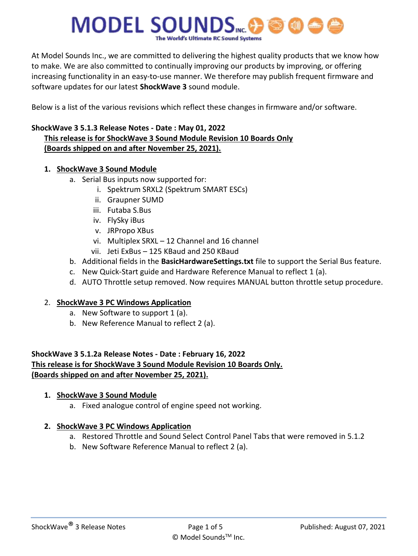# **MODEL SOUNDS...@**

At Model Sounds Inc., we are committed to delivering the highest quality products that we know how to make. We are also committed to continually improving our products by improving, or offering increasing functionality in an easy-to-use manner. We therefore may publish frequent firmware and software updates for our latest **ShockWave 3** sound module.

Below is a list of the various revisions which reflect these changes in firmware and/or software.

## **ShockWave 3 5.1.3 Release Notes - Date : May 01, 2022 This release is for ShockWave 3 Sound Module Revision 10 Boards Only (Boards shipped on and after November 25, 2021).**

## **1. ShockWave 3 Sound Module**

- a. Serial Bus inputs now supported for:
	- i. Spektrum SRXL2 (Spektrum SMART ESCs)
	- ii. Graupner SUMD
	- iii. Futaba S.Bus
	- iv. FlySky iBus
	- v. JRPropo XBus
	- vi. Multiplex SRXL 12 Channel and 16 channel
	- vii. Jeti ExBus 125 KBaud and 250 KBaud
- b. Additional fields in the **BasicHardwareSettings.txt** file to support the Serial Bus feature.
- c. New Quick-Start guide and Hardware Reference Manual to reflect 1 (a).
- d. AUTO Throttle setup removed. Now requires MANUAL button throttle setup procedure.

## 2. **ShockWave 3 PC Windows Application**

- a. New Software to support 1 (a).
- b. New Reference Manual to reflect 2 (a).

## **ShockWave 3 5.1.2a Release Notes - Date : February 16, 2022 This release is for ShockWave 3 Sound Module Revision 10 Boards Only. (Boards shipped on and after November 25, 2021).**

## **1. ShockWave 3 Sound Module**

a. Fixed analogue control of engine speed not working.

- a. Restored Throttle and Sound Select Control Panel Tabs that were removed in 5.1.2
- b. New Software Reference Manual to reflect 2 (a).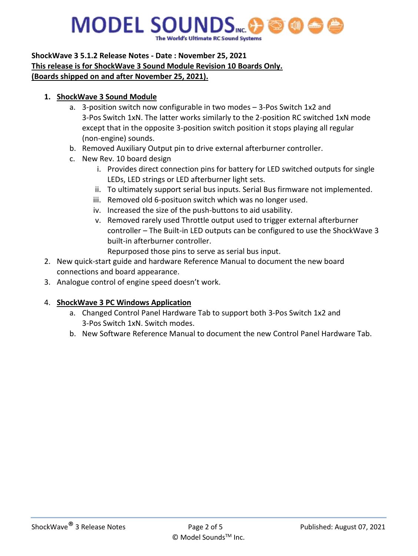# **MODEL SOUNDS**

### **ShockWave 3 5.1.2 Release Notes - Date : November 25, 2021 This release is for ShockWave 3 Sound Module Revision 10 Boards Only. (Boards shipped on and after November 25, 2021).**

## **1. ShockWave 3 Sound Module**

- a. 3-position switch now configurable in two modes 3-Pos Switch 1x2 and 3-Pos Switch 1xN. The latter works similarly to the 2-position RC switched 1xN mode except that in the opposite 3-position switch position it stops playing all regular (non-engine) sounds.
- b. Removed Auxiliary Output pin to drive external afterburner controller.
- c. New Rev. 10 board design
	- i. Provides direct connection pins for battery for LED switched outputs for single LEDs, LED strings or LED afterburner light sets.
	- ii. To ultimately support serial bus inputs. Serial Bus firmware not implemented.
	- iii. Removed old 6-posituon switch which was no longer used.
	- iv. Increased the size of the push-buttons to aid usability.
	- v. Removed rarely used Throttle output used to trigger external afterburner controller – The Built-in LED outputs can be configured to use the ShockWave 3 built-in afterburner controller.
		- Repurposed those pins to serve as serial bus input.
- 2. New quick-start guide and hardware Reference Manual to document the new board connections and board appearance.
- 3. Analogue control of engine speed doesn't work.

- a. Changed Control Panel Hardware Tab to support both 3-Pos Switch 1x2 and 3-Pos Switch 1xN. Switch modes.
- b. New Software Reference Manual to document the new Control Panel Hardware Tab.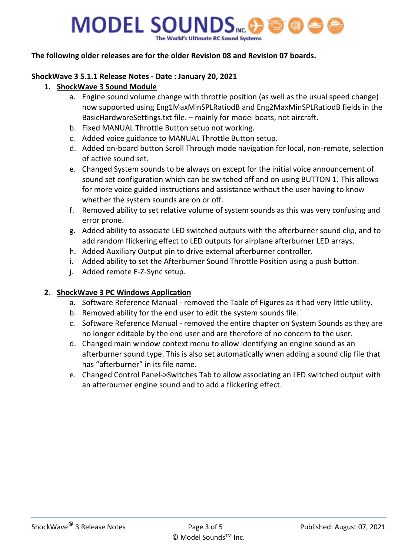# **MODEL SOUNDS**MC.

#### **The following older releases are for the older Revision 08 and Revision 07 boards.**

#### **ShockWave 3 5.1.1 Release Notes - Date : January 20, 2021**

#### **1. ShockWave 3 Sound Module**

- a. Engine sound volume change with throttle position (as well as the usual speed change) now supported using Eng1MaxMinSPLRatiodB and Eng2MaxMinSPLRatiodB fields in the BasicHardwareSettings.txt file. – mainly for model boats, not aircraft.
- b. Fixed MANUAL Throttle Button setup not working.
- c. Added voice guidance to MANUAL Throttle Button setup.
- d. Added on-board button Scroll Through mode navigation for local, non-remote, selection of active sound set.
- e. Changed System sounds to be always on except for the initial voice announcement of sound set configuration which can be switched off and on using BUTTON 1. This allows for more voice guided instructions and assistance without the user having to know whether the system sounds are on or off.
- f. Removed ability to set relative volume of system sounds as this was very confusing and error prone.
- g. Added ability to associate LED switched outputs with the afterburner sound clip, and to add random flickering effect to LED outputs for airplane afterburner LED arrays.
- h. Added Auxiliary Output pin to drive external afterburner controller.
- i. Added ability to set the Afterburner Sound Throttle Position using a push button.
- j. Added remote E-Z-Sync setup.

- a. Software Reference Manual removed the Table of Figures as it had very little utility.
- b. Removed ability for the end user to edit the system sounds file.
- c. Software Reference Manual removed the entire chapter on System Sounds as they are no longer editable by the end user and are therefore of no concern to the user.
- d. Changed main window context menu to allow identifying an engine sound as an afterburner sound type. This is also set automatically when adding a sound clip file that has "afterburner" in its file name.
- e. Changed Control Panel->Switches Tab to allow associating an LED switched output with an afterburner engine sound and to add a flickering effect.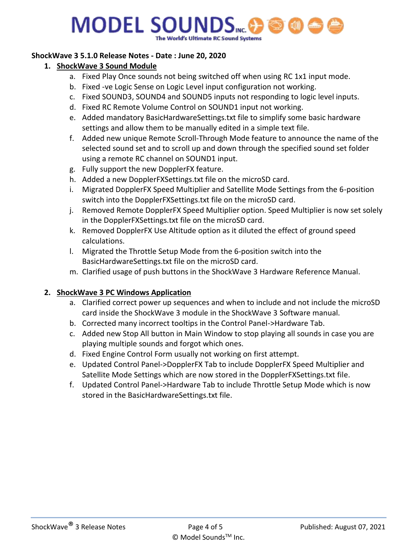# **MODEL SOUNDS**

#### **ShockWave 3 5.1.0 Release Notes - Date : June 20, 2020**

#### **1. ShockWave 3 Sound Module**

- a. Fixed Play Once sounds not being switched off when using RC 1x1 input mode.
- b. Fixed -ve Logic Sense on Logic Level input configuration not working.
- c. Fixed SOUND3, SOUND4 and SOUND5 inputs not responding to logic level inputs.
- d. Fixed RC Remote Volume Control on SOUND1 input not working.
- e. Added mandatory BasicHardwareSettings.txt file to simplify some basic hardware settings and allow them to be manually edited in a simple text file.
- f. Added new unique Remote Scroll-Through Mode feature to announce the name of the selected sound set and to scroll up and down through the specified sound set folder using a remote RC channel on SOUND1 input.
- g. Fully support the new DopplerFX feature.
- h. Added a new DopplerFXSettings.txt file on the microSD card.
- i. Migrated DopplerFX Speed Multiplier and Satellite Mode Settings from the 6-position switch into the DopplerFXSettings.txt file on the microSD card.
- j. Removed Remote DopplerFX Speed Multiplier option. Speed Multiplier is now set solely in the DopplerFXSettings.txt file on the microSD card.
- k. Removed DopplerFX Use Altitude option as it diluted the effect of ground speed calculations.
- l. Migrated the Throttle Setup Mode from the 6-position switch into the BasicHardwareSettings.txt file on the microSD card.
- m. Clarified usage of push buttons in the ShockWave 3 Hardware Reference Manual.

- a. Clarified correct power up sequences and when to include and not include the microSD card inside the ShockWave 3 module in the ShockWave 3 Software manual.
- b. Corrected many incorrect tooltips in the Control Panel->Hardware Tab.
- c. Added new Stop All button in Main Window to stop playing all sounds in case you are playing multiple sounds and forgot which ones.
- d. Fixed Engine Control Form usually not working on first attempt.
- e. Updated Control Panel->DopplerFX Tab to include DopplerFX Speed Multiplier and Satellite Mode Settings which are now stored in the DopplerFXSettings.txt file.
- f. Updated Control Panel->Hardware Tab to include Throttle Setup Mode which is now stored in the BasicHardwareSettings.txt file.